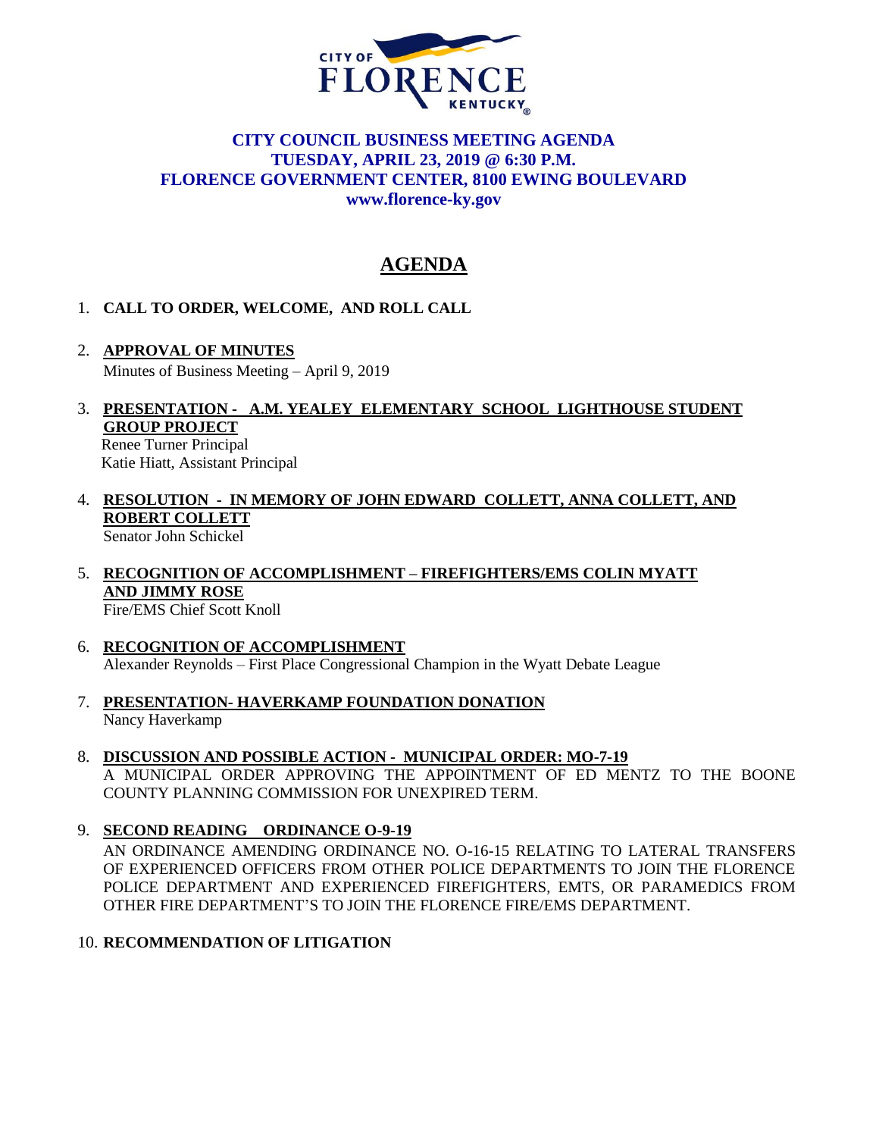

# **CITY COUNCIL BUSINESS MEETING AGENDA TUESDAY, APRIL 23, 2019 @ 6:30 P.M. FLORENCE GOVERNMENT CENTER, 8100 EWING BOULEVARD [www.florence-ky.gov](http://www.florence-ky.gov/)**

# **AGENDA**

## 1. **CALL TO ORDER, WELCOME, AND ROLL CALL**

- 2. **APPROVAL OF MINUTES** Minutes of Business Meeting – April 9, 2019
- 3. **PRESENTATION A.M. YEALEY ELEMENTARY SCHOOL LIGHTHOUSE STUDENT GROUP PROJECT**

 Renee Turner Principal Katie Hiatt, Assistant Principal

- 4. **RESOLUTION IN MEMORY OF JOHN EDWARD COLLETT, ANNA COLLETT, AND ROBERT COLLETT** Senator John Schickel
- 5. **RECOGNITION OF ACCOMPLISHMENT – FIREFIGHTERS/EMS COLIN MYATT AND JIMMY ROSE** Fire/EMS Chief Scott Knoll
- 6. **RECOGNITION OF ACCOMPLISHMENT** Alexander Reynolds – First Place Congressional Champion in the Wyatt Debate League
- 7. **PRESENTATION- HAVERKAMP FOUNDATION DONATION** Nancy Haverkamp
- 8. **DISCUSSION AND POSSIBLE ACTION MUNICIPAL ORDER: MO-7-19** A MUNICIPAL ORDER APPROVING THE APPOINTMENT OF ED MENTZ TO THE BOONE COUNTY PLANNING COMMISSION FOR UNEXPIRED TERM.
- 9. **SECOND READING ORDINANCE O-9-19**

AN ORDINANCE AMENDING ORDINANCE NO. O-16-15 RELATING TO LATERAL TRANSFERS OF EXPERIENCED OFFICERS FROM OTHER POLICE DEPARTMENTS TO JOIN THE FLORENCE POLICE DEPARTMENT AND EXPERIENCED FIREFIGHTERS, EMTS, OR PARAMEDICS FROM OTHER FIRE DEPARTMENT'S TO JOIN THE FLORENCE FIRE/EMS DEPARTMENT.

10. **RECOMMENDATION OF LITIGATION**